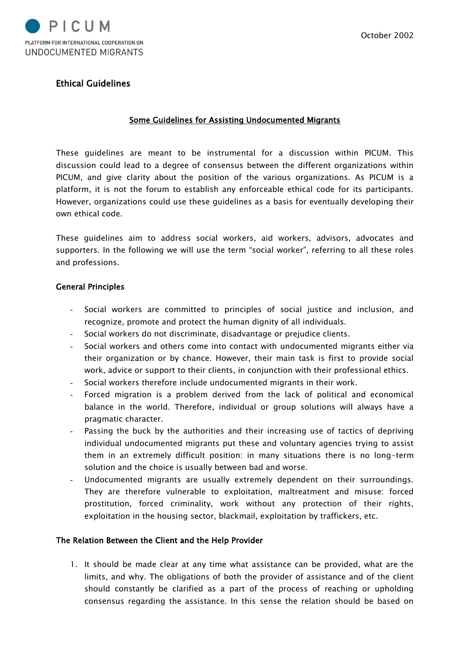

# Ethical Guidelines

#### Some Guidelines for Assisting Undocumented Migrants

These guidelines are meant to be instrumental for a discussion within PICUM. This discussion could lead to a degree of consensus between the different organizations within PICUM, and give clarity about the position of the various organizations. As PICUM is a platform, it is not the forum to establish any enforceable ethical code for its participants. However, organizations could use these guidelines as a basis for eventually developing their own ethical code.

These guidelines aim to address social workers, aid workers, advisors, advocates and supporters. In the following we will use the term "social worker", referring to all these roles and professions.

#### General Principles

- Social workers are committed to principles of social justice and inclusion, and recognize, promote and protect the human dignity of all individuals.
- Social workers do not discriminate, disadvantage or prejudice clients.
- Social workers and others come into contact with undocumented migrants either via their organization or by chance. However, their main task is first to provide social work, advice or support to their clients, in conjunction with their professional ethics.
- Social workers therefore include undocumented migrants in their work.
- Forced migration is a problem derived from the lack of political and economical balance in the world. Therefore, individual or group solutions will always have a pragmatic character.
- Passing the buck by the authorities and their increasing use of tactics of depriving individual undocumented migrants put these and voluntary agencies trying to assist them in an extremely difficult position: in many situations there is no long-term solution and the choice is usually between bad and worse.
- Undocumented migrants are usually extremely dependent on their surroundings. They are therefore vulnerable to exploitation, maltreatment and misuse: forced prostitution, forced criminality, work without any protection of their rights, exploitation in the housing sector, blackmail, exploitation by traffickers, etc.

### The Relation Between the Client and the Help Provider

1. It should be made clear at any time what assistance can be provided, what are the limits, and why. The obligations of both the provider of assistance and of the client should constantly be clarified as a part of the process of reaching or upholding consensus regarding the assistance. In this sense the relation should be based on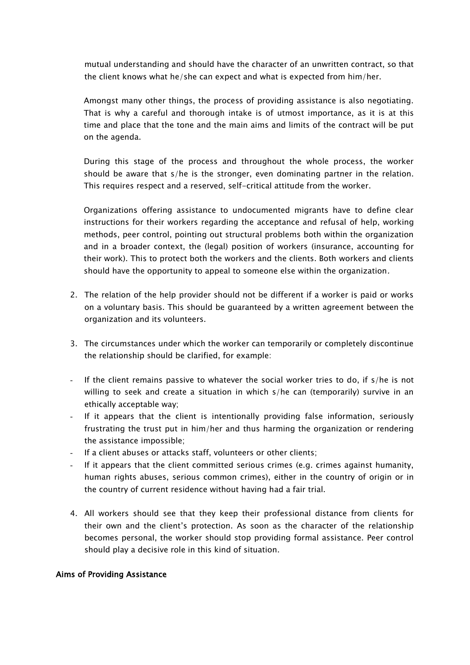mutual understanding and should have the character of an unwritten contract, so that the client knows what he/she can expect and what is expected from him/her.

Amongst many other things, the process of providing assistance is also negotiating. That is why a careful and thorough intake is of utmost importance, as it is at this time and place that the tone and the main aims and limits of the contract will be put on the agenda.

During this stage of the process and throughout the whole process, the worker should be aware that s/he is the stronger, even dominating partner in the relation. This requires respect and a reserved, self-critical attitude from the worker.

Organizations offering assistance to undocumented migrants have to define clear instructions for their workers regarding the acceptance and refusal of help, working methods, peer control, pointing out structural problems both within the organization and in a broader context, the (legal) position of workers (insurance, accounting for their work). This to protect both the workers and the clients. Both workers and clients should have the opportunity to appeal to someone else within the organization.

- 2. The relation of the help provider should not be different if a worker is paid or works on a voluntary basis. This should be guaranteed by a written agreement between the organization and its volunteers.
- 3. The circumstances under which the worker can temporarily or completely discontinue the relationship should be clarified, for example:
- If the client remains passive to whatever the social worker tries to do, if  $s/h$ e is not willing to seek and create a situation in which s/he can (temporarily) survive in an ethically acceptable way;
- If it appears that the client is intentionally providing false information, seriously frustrating the trust put in him/her and thus harming the organization or rendering the assistance impossible;
- If a client abuses or attacks staff, volunteers or other clients;
- If it appears that the client committed serious crimes (e.g. crimes against humanity, human rights abuses, serious common crimes), either in the country of origin or in the country of current residence without having had a fair trial.
- 4. All workers should see that they keep their professional distance from clients for their own and the client's protection. As soon as the character of the relationship becomes personal, the worker should stop providing formal assistance. Peer control should play a decisive role in this kind of situation.

### Aims of Providing Assistance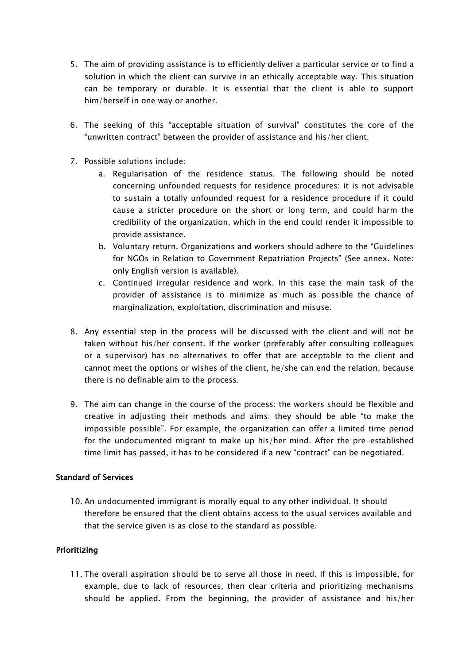- 5. The aim of providing assistance is to efficiently deliver a particular service or to find a solution in which the client can survive in an ethically acceptable way. This situation can be temporary or durable. It is essential that the client is able to support him/herself in one way or another.
- 6. The seeking of this "acceptable situation of survival" constitutes the core of the "unwritten contract" between the provider of assistance and his/her client.
- 7. Possible solutions include:
	- a. Regularisation of the residence status. The following should be noted concerning unfounded requests for residence procedures: it is not advisable to sustain a totally unfounded request for a residence procedure if it could cause a stricter procedure on the short or long term, and could harm the credibility of the organization, which in the end could render it impossible to provide assistance.
	- b. Voluntary return. Organizations and workers should adhere to the "Guidelines for NGOs in Relation to Government Repatriation Projects" (See annex. Note: only English version is available).
	- c. Continued irregular residence and work. In this case the main task of the provider of assistance is to minimize as much as possible the chance of marginalization, exploitation, discrimination and misuse.
- 8. Any essential step in the process will be discussed with the client and will not be taken without his/her consent. If the worker (preferably after consulting colleagues or a supervisor) has no alternatives to offer that are acceptable to the client and cannot meet the options or wishes of the client, he/she can end the relation, because there is no definable aim to the process.
- 9. The aim can change in the course of the process: the workers should be flexible and creative in adjusting their methods and aims: they should be able "to make the impossible possible". For example, the organization can offer a limited time period for the undocumented migrant to make up his/her mind. After the pre-established time limit has passed, it has to be considered if a new "contract" can be negotiated.

# Standard of Services

10. An undocumented immigrant is morally equal to any other individual. It should therefore be ensured that the client obtains access to the usual services available and that the service given is as close to the standard as possible.

# Prioritizing

11. The overall aspiration should be to serve all those in need. If this is impossible, for example, due to lack of resources, then clear criteria and prioritizing mechanisms should be applied. From the beginning, the provider of assistance and his/her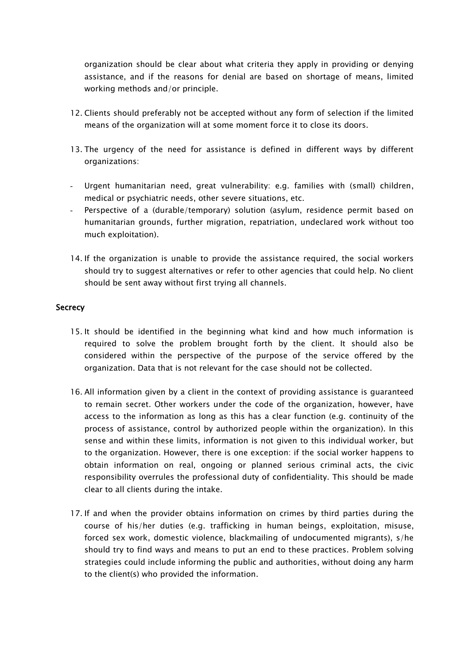organization should be clear about what criteria they apply in providing or denying assistance, and if the reasons for denial are based on shortage of means, limited working methods and/or principle.

- 12. Clients should preferably not be accepted without any form of selection if the limited means of the organization will at some moment force it to close its doors.
- 13. The urgency of the need for assistance is defined in different ways by different organizations:
- Urgent humanitarian need, great vulnerability: e.g. families with (small) children, medical or psychiatric needs, other severe situations, etc.
- Perspective of a (durable/temporary) solution (asylum, residence permit based on humanitarian grounds, further migration, repatriation, undeclared work without too much exploitation).
- 14. If the organization is unable to provide the assistance required, the social workers should try to suggest alternatives or refer to other agencies that could help. No client should be sent away without first trying all channels.

### **Secrecy**

- 15. It should be identified in the beginning what kind and how much information is required to solve the problem brought forth by the client. It should also be considered within the perspective of the purpose of the service offered by the organization. Data that is not relevant for the case should not be collected.
- 16. All information given by a client in the context of providing assistance is guaranteed to remain secret. Other workers under the code of the organization, however, have access to the information as long as this has a clear function (e.g. continuity of the process of assistance, control by authorized people within the organization). In this sense and within these limits, information is not given to this individual worker, but to the organization. However, there is one exception: if the social worker happens to obtain information on real, ongoing or planned serious criminal acts, the civic responsibility overrules the professional duty of confidentiality. This should be made clear to all clients during the intake.
- 17. If and when the provider obtains information on crimes by third parties during the course of his/her duties (e.g. trafficking in human beings, exploitation, misuse, forced sex work, domestic violence, blackmailing of undocumented migrants), s/he should try to find ways and means to put an end to these practices. Problem solving strategies could include informing the public and authorities, without doing any harm to the client(s) who provided the information.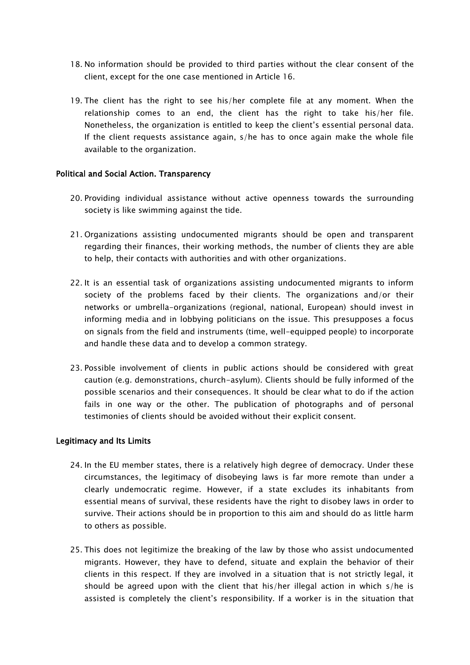- 18. No information should be provided to third parties without the clear consent of the client, except for the one case mentioned in Article 16.
- 19. The client has the right to see his/her complete file at any moment. When the relationship comes to an end, the client has the right to take his/her file. Nonetheless, the organization is entitled to keep the client's essential personal data. If the client requests assistance again, s/he has to once again make the whole file available to the organization.

### Political and Social Action. Transparency

- 20. Providing individual assistance without active openness towards the surrounding society is like swimming against the tide.
- 21. Organizations assisting undocumented migrants should be open and transparent regarding their finances, their working methods, the number of clients they are able to help, their contacts with authorities and with other organizations.
- 22. It is an essential task of organizations assisting undocumented migrants to inform society of the problems faced by their clients. The organizations and/or their networks or umbrella-organizations (regional, national, European) should invest in informing media and in lobbying politicians on the issue. This presupposes a focus on signals from the field and instruments (time, well-equipped people) to incorporate and handle these data and to develop a common strategy.
- 23. Possible involvement of clients in public actions should be considered with great caution (e.g. demonstrations, church-asylum). Clients should be fully informed of the possible scenarios and their consequences. It should be clear what to do if the action fails in one way or the other. The publication of photographs and of personal testimonies of clients should be avoided without their explicit consent.

### Legitimacy and Its Limits

- 24. In the EU member states, there is a relatively high degree of democracy. Under these circumstances, the legitimacy of disobeying laws is far more remote than under a clearly undemocratic regime. However, if a state excludes its inhabitants from essential means of survival, these residents have the right to disobey laws in order to survive. Their actions should be in proportion to this aim and should do as little harm to others as possible.
- 25. This does not legitimize the breaking of the law by those who assist undocumented migrants. However, they have to defend, situate and explain the behavior of their clients in this respect. If they are involved in a situation that is not strictly legal, it should be agreed upon with the client that his/her illegal action in which s/he is assisted is completely the client's responsibility. If a worker is in the situation that